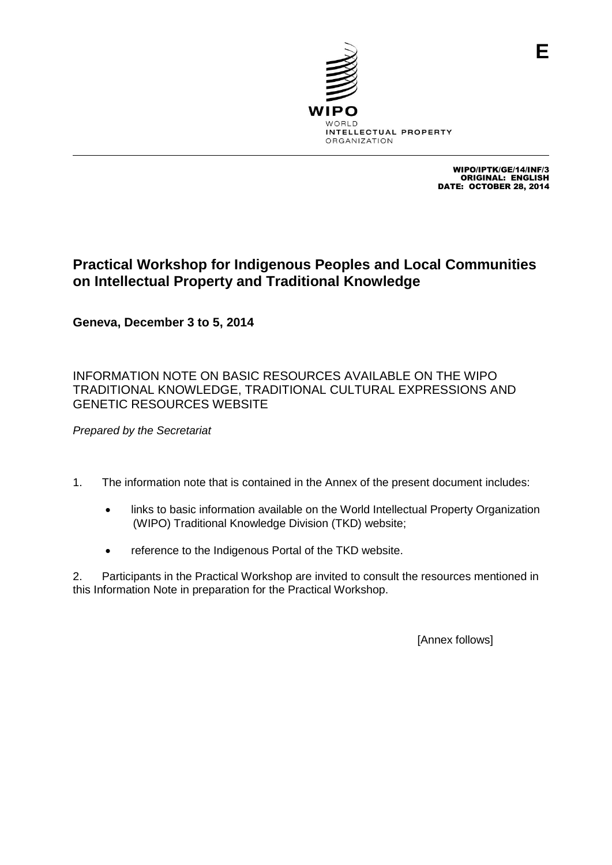

WIPO/IPTK/GE/14/INF/3 ORIGINAL: ENGLISH DATE: OCTOBER 28, 2014

**E**

# **Practical Workshop for Indigenous Peoples and Local Communities on Intellectual Property and Traditional Knowledge**

**Geneva, December 3 to 5, 2014**

INFORMATION NOTE ON BASIC RESOURCES AVAILABLE ON THE WIPO TRADITIONAL KNOWLEDGE, TRADITIONAL CULTURAL EXPRESSIONS AND GENETIC RESOURCES WEBSITE

*Prepared by the Secretariat*

- 1. The information note that is contained in the Annex of the present document includes:
	- links to basic information available on the World Intellectual Property Organization (WIPO) Traditional Knowledge Division (TKD) website;
	- reference to the Indigenous Portal of the TKD website.

2. Participants in the Practical Workshop are invited to consult the resources mentioned in this Information Note in preparation for the Practical Workshop.

[Annex follows]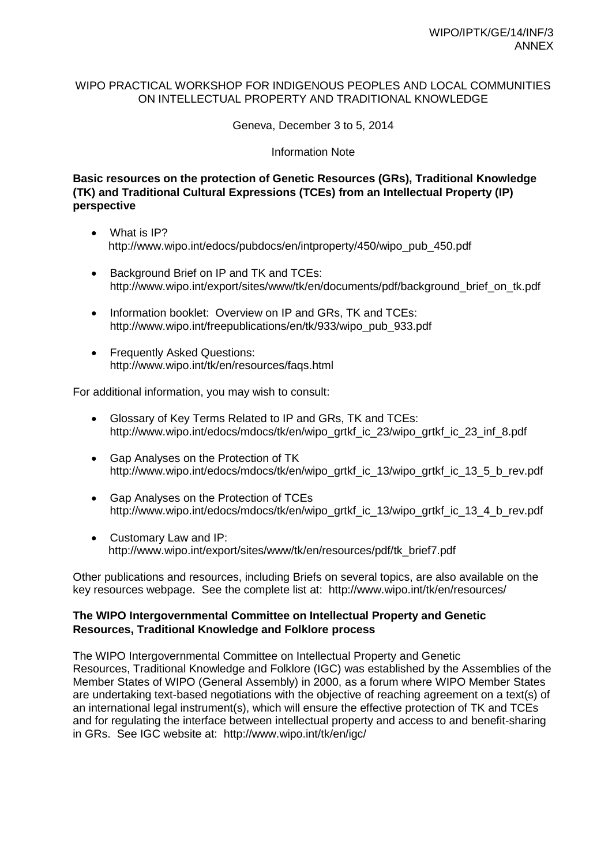## WIPO PRACTICAL WORKSHOP FOR INDIGENOUS PEOPLES AND LOCAL COMMUNITIES ON INTELLECTUAL PROPERTY AND TRADITIONAL KNOWLEDGE

Geneva, December 3 to 5, 2014

### Information Note

# **Basic resources on the protection of Genetic Resources (GRs), Traditional Knowledge (TK) and Traditional Cultural Expressions (TCEs) from an Intellectual Property (IP) perspective**

- What is IP? [http://www.wipo.int/edocs/pubdocs/en/intproperty/450/wipo\\_pub\\_450.pdf](http://www.wipo.int/edocs/pubdocs/en/intproperty/450/wipo_pub_450.pdf)
- Background Brief on IP and TK and TCEs: [http://www.wipo.int/export/sites/www/tk/en/documents/pdf/background\\_brief\\_on\\_tk.pdf](http://www.wipo.int/export/sites/www/tk/en/documents/pdf/background_brief_on_tk.pdf)
- Information booklet: Overview on IP and GRs, TK and TCEs: [http://www.wipo.int/freepublications/en/tk/933/wipo\\_pub\\_933.pdf](http://www.wipo.int/freepublications/en/tk/933/wipo_pub_933.pdf)
- Frequently Asked Questions: <http://www.wipo.int/tk/en/resources/faqs.html>

For additional information, you may wish to consult:

- Glossary of Key Terms Related to IP and GRs, TK and TCEs: [http://www.wipo.int/edocs/mdocs/tk/en/wipo\\_grtkf\\_ic\\_23/wipo\\_grtkf\\_ic\\_23\\_inf\\_8.pdf](http://www.wipo.int/edocs/mdocs/tk/en/wipo_grtkf_ic_23/wipo_grtkf_ic_23_inf_8.pdf)
- Gap Analyses on the Protection of TK [http://www.wipo.int/edocs/mdocs/tk/en/wipo\\_grtkf\\_ic\\_13/wipo\\_grtkf\\_ic\\_13\\_5\\_b\\_rev.pdf](http://www.wipo.int/edocs/mdocs/tk/en/wipo_grtkf_ic_13/wipo_grtkf_ic_13_5_b_rev.pdf)
- Gap Analyses on the Protection of TCEs [http://www.wipo.int/edocs/mdocs/tk/en/wipo\\_grtkf\\_ic\\_13/wipo\\_grtkf\\_ic\\_13\\_4\\_b\\_rev.pdf](http://www.wipo.int/edocs/mdocs/tk/en/wipo_grtkf_ic_13/wipo_grtkf_ic_13_4_b_rev.pdf)
- Customary Law and IP: [http://www.wipo.int/export/sites/www/tk/en/resources/pdf/tk\\_brief7.pdf](http://www.wipo.int/export/sites/www/tk/en/resources/pdf/tk_brief7.pdf)

Other publications and resources, including Briefs on several topics, are also available on the key resources webpage. See the complete list at: <http://www.wipo.int/tk/en/resources/>

### **The WIPO Intergovernmental Committee on Intellectual Property and Genetic Resources, Traditional Knowledge and Folklore process**

The WIPO Intergovernmental Committee on Intellectual Property and Genetic Resources, Traditional Knowledge and Folklore (IGC) was established by the Assemblies of the Member States of WIPO (General Assembly) in 2000, as a forum where WIPO Member States are undertaking text-based negotiations with the objective of reaching agreement on a text(s) of an international legal instrument(s), which will ensure the effective protection of TK and TCEs and for regulating the interface between intellectual property and access to and benefit-sharing in GRs. See IGC website at: <http://www.wipo.int/tk/en/igc/>